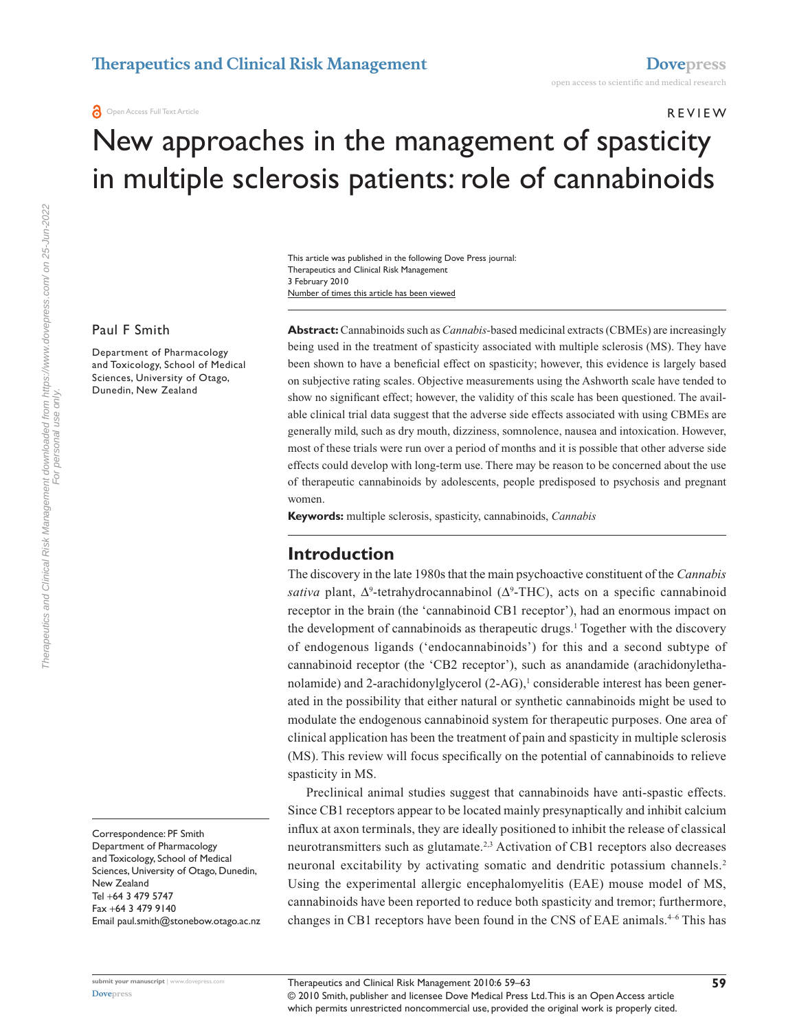**O** Open Access Full Text Article

#### r e v i e w

# New approaches in the management of spasticity in multiple sclerosis patients: role of cannabinoids

Number of times this article has been viewed This article was published in the following Dove Press journal: Therapeutics and Clinical Risk Management 3 February 2010

#### Paul F Smith

Department of Pharmacology and Toxicology, School of Medical Sciences, University of Otago, Dunedin, New Zealand

**Abstract:** Cannabinoids such as *Cannabis-*based medicinal extracts (CBMEs) are increasingly being used in the treatment of spasticity associated with multiple sclerosis (MS). They have been shown to have a beneficial effect on spasticity; however, this evidence is largely based on subjective rating scales. Objective measurements using the Ashworth scale have tended to show no significant effect; however, the validity of this scale has been questioned. The available clinical trial data suggest that the adverse side effects associated with using CBMEs are generally mild, such as dry mouth, dizziness, somnolence, nausea and intoxication. However, most of these trials were run over a period of months and it is possible that other adverse side effects could develop with long-term use. There may be reason to be concerned about the use of therapeutic cannabinoids by adolescents, people predisposed to psychosis and pregnant women.

**Keywords:** multiple sclerosis, spasticity, cannabinoids, *Cannabis*

### **Introduction**

The discovery in the late 1980s that the main psychoactive constituent of the *Cannabis*  sativa plant, ∆<sup>9</sup>-tetrahydrocannabinol (Δ<sup>9</sup>-THC), acts on a specific cannabinoid receptor in the brain (the 'cannabinoid CB1 receptor'), had an enormous impact on the development of cannabinoids as therapeutic drugs.<sup>1</sup> Together with the discovery of endogenous ligands ('endocannabinoids') for this and a second subtype of cannabinoid receptor (the 'CB2 receptor'), such as anandamide (arachidonylethanolamide) and 2-arachidonylglycerol (2-AG),<sup>1</sup> considerable interest has been generated in the possibility that either natural or synthetic cannabinoids might be used to modulate the endogenous cannabinoid system for therapeutic purposes. One area of clinical application has been the treatment of pain and spasticity in multiple sclerosis (MS). This review will focus specifically on the potential of cannabinoids to relieve spasticity in MS.

Preclinical animal studies suggest that cannabinoids have anti-spastic effects. Since CB1 receptors appear to be located mainly presynaptically and inhibit calcium influx at axon terminals, they are ideally positioned to inhibit the release of classical neurotransmitters such as glutamate.<sup>2,3</sup> Activation of CB1 receptors also decreases neuronal excitability by activating somatic and dendritic potassium channels.2 Using the experimental allergic encephalomyelitis (EAE) mouse model of MS, cannabinoids have been reported to reduce both spasticity and tremor; furthermore, changes in CB1 receptors have been found in the CNS of EAE animals.<sup>4-6</sup> This has

Correspondence: PF Smith Department of Pharmacology and Toxicology, School of Medical Sciences, University of Otago, Dunedin, New Zealand Tel +64 3 479 5747 Fax +64 3 479 9140 Email paul.smith@stonebow.otago.ac.nz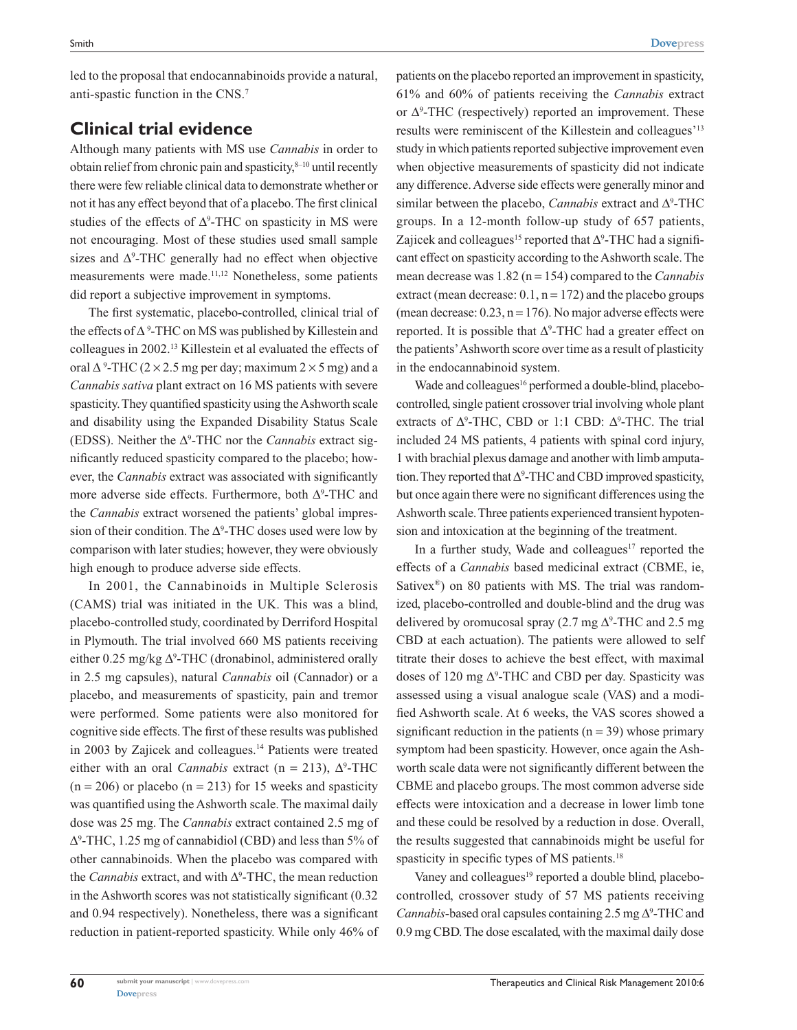led to the proposal that endocannabinoids provide a natural, anti-spastic function in the CNS.7

## **Clinical trial evidence**

Although many patients with MS use *Cannabis* in order to obtain relief from chronic pain and spasticity, $8-10$  until recently there were few reliable clinical data to demonstrate whether or not it has any effect beyond that of a placebo. The first clinical studies of the effects of  $\Delta^9$ -THC on spasticity in MS were not encouraging. Most of these studies used small sample sizes and  $\Delta^9$ -THC generally had no effect when objective measurements were made.11,12 Nonetheless, some patients did report a subjective improvement in symptoms.

The first systematic, placebo-controlled, clinical trial of the effects of ∆ <sup>9</sup> -THC on MS was published by Killestein and colleagues in 2002.13 Killestein et al evaluated the effects of oral  $\Delta^9$ -THC (2 × 2.5 mg per day; maximum 2 × 5 mg) and a *Cannabis sativa* plant extract on 16 MS patients with severe spasticity. They quantified spasticity using the Ashworth scale and disability using the Expanded Disability Status Scale (EDSS). Neither the ∆<sup>9</sup> -THC nor the *Cannabis* extract significantly reduced spasticity compared to the placebo; however, the *Cannabis* extract was associated with significantly more adverse side effects. Furthermore, both ∆°-THC and the *Cannabis* extract worsened the patients' global impression of their condition. The  $\Delta^9$ -THC doses used were low by comparison with later studies; however, they were obviously high enough to produce adverse side effects.

In 2001, the Cannabinoids in Multiple Sclerosis (CAMS) trial was initiated in the UK. This was a blind, placebo-controlled study, coordinated by Derriford Hospital in Plymouth. The trial involved 660 MS patients receiving either 0.25 mg/kg  $\Delta^9$ -THC (dronabinol, administered orally in 2.5 mg capsules), natural *Cannabis* oil (Cannador) or a placebo, and measurements of spasticity, pain and tremor were performed. Some patients were also monitored for cognitive side effects. The first of these results was published in 2003 by Zajicek and colleagues.<sup>14</sup> Patients were treated either with an oral *Cannabis* extract (n = 213),  $\Delta^9$ -THC  $(n = 206)$  or placebo  $(n = 213)$  for 15 weeks and spasticity was quantified using the Ashworth scale. The maximal daily dose was 25 mg. The *Cannabis* extract contained 2.5 mg of ∆9 -THC, 1.25 mg of cannabidiol (CBD) and less than 5% of other cannabinoids. When the placebo was compared with the *Cannabis* extract, and with ∆<sup>9</sup> -THC, the mean reduction in the Ashworth scores was not statistically significant (0.32 and 0.94 respectively). Nonetheless, there was a significant reduction in patient-reported spasticity. While only 46% of

patients on the placebo reported an improvement in spasticity, 61% and 60% of patients receiving the *Cannabis* extract or  $\Delta^9$ -THC (respectively) reported an improvement. These results were reminiscent of the Killestein and colleagues'13 study in which patients reported subjective improvement even when objective measurements of spasticity did not indicate any difference. Adverse side effects were generally minor and similar between the placebo, *Cannabis* extract and ∆<sup>9</sup> -THC groups. In a 12-month follow-up study of 657 patients, Zajicek and colleagues<sup>15</sup> reported that  $\Delta^9$ -THC had a significant effect on spasticity according to the Ashworth scale. The mean decrease was 1.82 (n = 154) compared to the *Cannabis* extract (mean decrease:  $0.1$ ,  $n = 172$ ) and the placebo groups (mean decrease:  $0.23$ ,  $n = 176$ ). No major adverse effects were reported. It is possible that  $\Delta^9$ -THC had a greater effect on the patients' Ashworth score over time as a result of plasticity in the endocannabinoid system.

Wade and colleagues<sup>16</sup> performed a double-blind, placebocontrolled, single patient crossover trial involving whole plant extracts of  $\Delta^9$ -THC, CBD or 1:1 CBD:  $\Delta^9$ -THC. The trial included 24 MS patients, 4 patients with spinal cord injury, 1 with brachial plexus damage and another with limb amputation. They reported that  $\Delta^9$ -THC and CBD improved spasticity, but once again there were no significant differences using the Ashworth scale. Three patients experienced transient hypotension and intoxication at the beginning of the treatment.

In a further study, Wade and colleagues<sup>17</sup> reported the effects of a *Cannabis* based medicinal extract (CBME, ie, Sativex<sup>®</sup>) on 80 patients with MS. The trial was randomized, placebo-controlled and double-blind and the drug was delivered by oromucosal spray  $(2.7 \text{ mg } \Delta)$ °-THC and 2.5 mg CBD at each actuation). The patients were allowed to self titrate their doses to achieve the best effect, with maximal doses of 120 mg  $\Delta^9$ -THC and CBD per day. Spasticity was assessed using a visual analogue scale (VAS) and a modified Ashworth scale. At 6 weeks, the VAS scores showed a significant reduction in the patients  $(n = 39)$  whose primary symptom had been spasticity. However, once again the Ashworth scale data were not significantly different between the CBME and placebo groups. The most common adverse side effects were intoxication and a decrease in lower limb tone and these could be resolved by a reduction in dose. Overall, the results suggested that cannabinoids might be useful for spasticity in specific types of MS patients.<sup>18</sup>

Vaney and colleagues<sup>19</sup> reported a double blind, placebocontrolled, crossover study of 57 MS patients receiving Cannabis-based oral capsules containing 2.5 mg ∆<sup>9</sup>-THC and 0.9 mg CBD. The dose escalated, with the maximal daily dose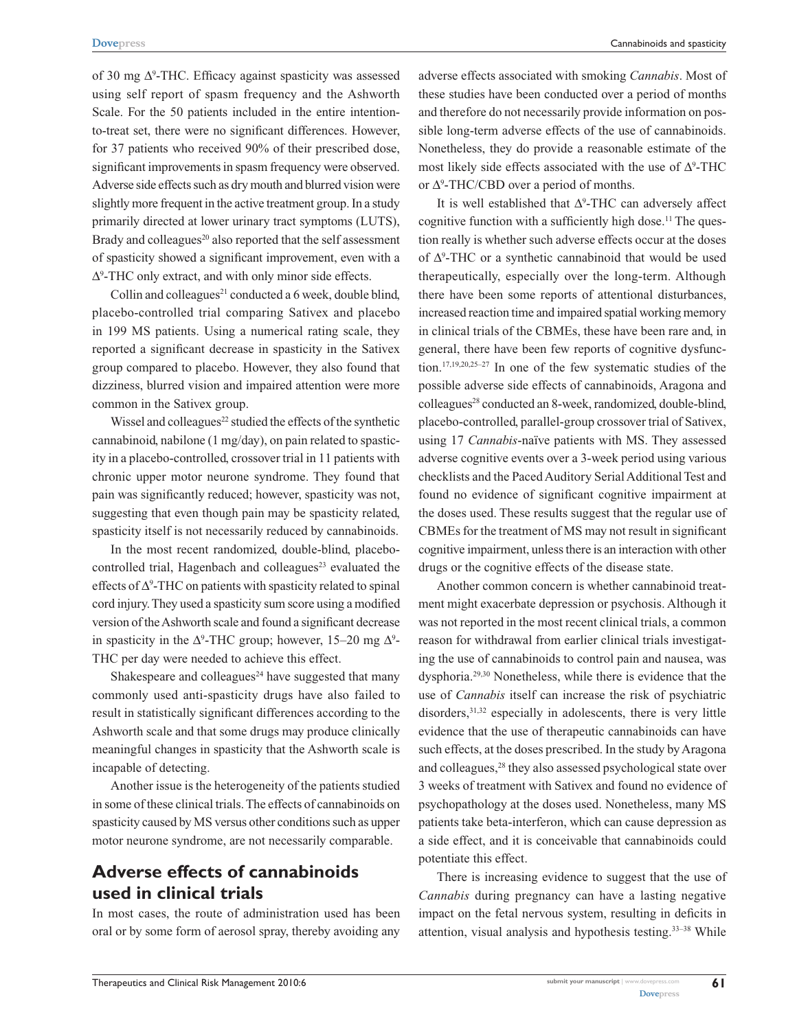**[Dovepress](www.dovepress.com)** Cannabinoids and spasticity

of 30 mg ∆<sup>9</sup> -THC. Efficacy against spasticity was assessed using self report of spasm frequency and the Ashworth Scale. For the 50 patients included in the entire intentionto-treat set, there were no significant differences. However, for 37 patients who received 90% of their prescribed dose, significant improvements in spasm frequency were observed. Adverse side effects such as dry mouth and blurred vision were slightly more frequent in the active treatment group. In a study primarily directed at lower urinary tract symptoms (LUTS), Brady and colleagues $^{20}$  also reported that the self assessment of spasticity showed a significant improvement, even with a ∆9 -THC only extract, and with only minor side effects.

Collin and colleagues $^{21}$  conducted a 6 week, double blind, placebo-controlled trial comparing Sativex and placebo in 199 MS patients. Using a numerical rating scale, they reported a significant decrease in spasticity in the Sativex group compared to placebo. However, they also found that dizziness, blurred vision and impaired attention were more common in the Sativex group.

Wissel and colleagues<sup>22</sup> studied the effects of the synthetic cannabinoid, nabilone (1 mg/day), on pain related to spasticity in a placebo-controlled, crossover trial in 11 patients with chronic upper motor neurone syndrome. They found that pain was significantly reduced; however, spasticity was not, suggesting that even though pain may be spasticity related, spasticity itself is not necessarily reduced by cannabinoids.

In the most recent randomized, double-blind, placebocontrolled trial, Hagenbach and colleagues<sup>23</sup> evaluated the effects of ∆<sup>9</sup> -THC on patients with spasticity related to spinal cord injury. They used a spasticity sum score using a modified version of the Ashworth scale and found a significant decrease in spasticity in the  $\Delta^9$ -THC group; however, 15–20 mg  $\Delta^9$ -THC per day were needed to achieve this effect.

Shakespeare and colleagues<sup>24</sup> have suggested that many commonly used anti-spasticity drugs have also failed to result in statistically significant differences according to the Ashworth scale and that some drugs may produce clinically meaningful changes in spasticity that the Ashworth scale is incapable of detecting.

Another issue is the heterogeneity of the patients studied in some of these clinical trials. The effects of cannabinoids on spasticity caused by MS versus other conditions such as upper motor neurone syndrome, are not necessarily comparable.

# **Adverse effects of cannabinoids used in clinical trials**

In most cases, the route of administration used has been oral or by some form of aerosol spray, thereby avoiding any

adverse effects associated with smoking *Cannabis*. Most of these studies have been conducted over a period of months and therefore do not necessarily provide information on possible long-term adverse effects of the use of cannabinoids. Nonetheless, they do provide a reasonable estimate of the most likely side effects associated with the use of  $\Delta^9$ -THC or  $\Delta^9$ -THC/CBD over a period of months.

It is well established that  $\Delta^9$ -THC can adversely affect cognitive function with a sufficiently high dose.<sup>11</sup> The question really is whether such adverse effects occur at the doses of ∆<sup>9</sup> -THC or a synthetic cannabinoid that would be used therapeutically, especially over the long-term. Although there have been some reports of attentional disturbances, increased reaction time and impaired spatial working memory in clinical trials of the CBMEs, these have been rare and, in general, there have been few reports of cognitive dysfunction.17,19,20,25–27 In one of the few systematic studies of the possible adverse side effects of cannabinoids, Aragona and colleagues<sup>28</sup> conducted an 8-week, randomized, double-blind, placebo-controlled, parallel-group crossover trial of Sativex, using 17 *Cannabis*-naïve patients with MS. They assessed adverse cognitive events over a 3-week period using various checklists and the Paced Auditory Serial Additional Test and found no evidence of significant cognitive impairment at the doses used. These results suggest that the regular use of CBMEs for the treatment of MS may not result in significant cognitive impairment, unless there is an interaction with other drugs or the cognitive effects of the disease state.

Another common concern is whether cannabinoid treatment might exacerbate depression or psychosis. Although it was not reported in the most recent clinical trials, a common reason for withdrawal from earlier clinical trials investigating the use of cannabinoids to control pain and nausea, was dysphoria.29,30 Nonetheless, while there is evidence that the use of *Cannabis* itself can increase the risk of psychiatric disorders,  $31,32$  especially in adolescents, there is very little evidence that the use of therapeutic cannabinoids can have such effects, at the doses prescribed. In the study by Aragona and colleagues,28 they also assessed psychological state over 3 weeks of treatment with Sativex and found no evidence of psychopathology at the doses used. Nonetheless, many MS patients take beta-interferon, which can cause depression as a side effect, and it is conceivable that cannabinoids could potentiate this effect.

There is increasing evidence to suggest that the use of *Cannabis* during pregnancy can have a lasting negative impact on the fetal nervous system, resulting in deficits in attention, visual analysis and hypothesis testing.33–38 While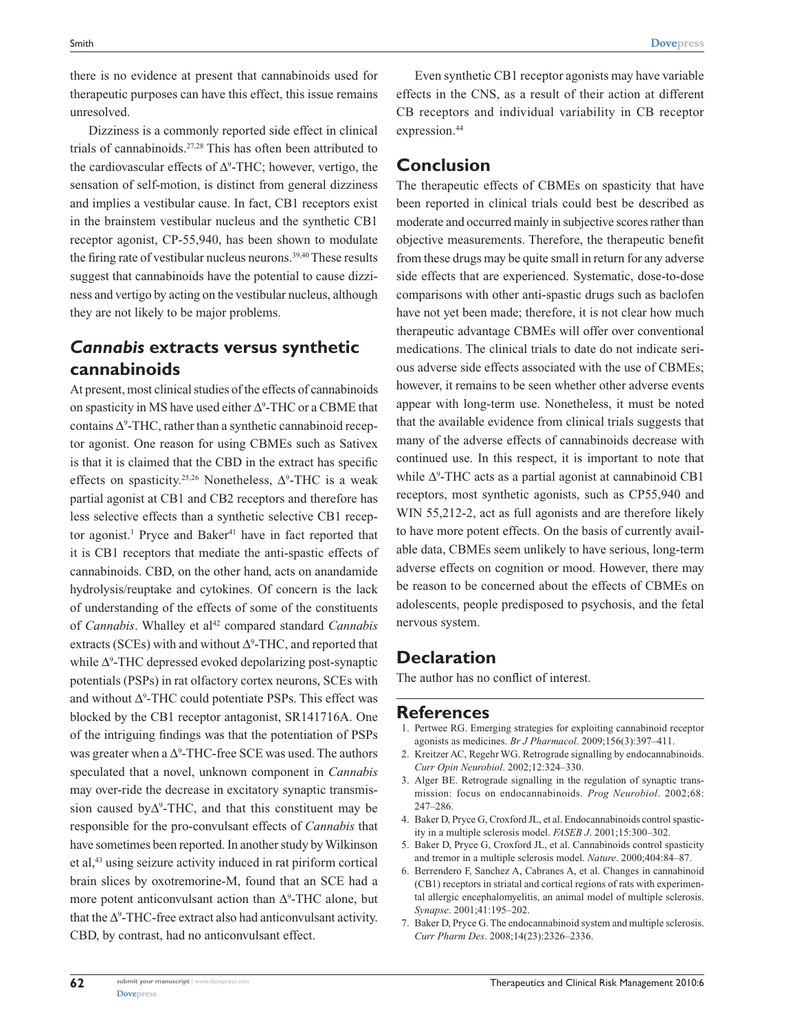there is no evidence at present that cannabinoids used for therapeutic purposes can have this effect, this issue remains unresolved.

Dizziness is a commonly reported side effect in clinical trials of cannabinoids.27,28 This has often been attributed to the cardiovascular effects of  $\Delta^9$ -THC; however, vertigo, the sensation of self-motion, is distinct from general dizziness and implies a vestibular cause. In fact, CB1 receptors exist in the brainstem vestibular nucleus and the synthetic CB1 receptor agonist, CP-55,940, has been shown to modulate the firing rate of vestibular nucleus neurons.<sup>39,40</sup> These results suggest that cannabinoids have the potential to cause dizziness and vertigo by acting on the vestibular nucleus, although they are not likely to be major problems.

## *Cannabis* **extracts versus synthetic cannabinoids**

At present, most clinical studies of the effects of cannabinoids on spasticity in MS have used either  $\Delta^9$ -THC or a CBME that contains  $\Delta^9$ -THC, rather than a synthetic cannabinoid receptor agonist. One reason for using CBMEs such as Sativex is that it is claimed that the CBD in the extract has specific effects on spasticity.<sup>25,26</sup> Nonetheless,  $\Delta^9$ -THC is a weak partial agonist at CB1 and CB2 receptors and therefore has less selective effects than a synthetic selective CB1 receptor agonist.<sup>1</sup> Pryce and Baker<sup>41</sup> have in fact reported that it is CB1 receptors that mediate the anti-spastic effects of cannabinoids. CBD, on the other hand, acts on anandamide hydrolysis/reuptake and cytokines. Of concern is the lack of understanding of the effects of some of the constituents of *Cannabis*. Whalley et al<sup>42</sup> compared standard *Cannabis* extracts (SCEs) with and without  $\Delta^9$ -THC, and reported that while ∆<sup>9</sup> -THC depressed evoked depolarizing post-synaptic potentials (PSPs) in rat olfactory cortex neurons, SCEs with and without  $\Delta^9$ -THC could potentiate PSPs. This effect was blocked by the CB1 receptor antagonist, SR141716A. One of the intriguing findings was that the potentiation of PSPs was greater when a  $\Delta^9$ -THC-free SCE was used. The authors speculated that a novel, unknown component in *Cannabis* may over-ride the decrease in excitatory synaptic transmission caused by $\Delta^9$ -THC, and that this constituent may be responsible for the pro-convulsant effects of *Cannabis* that have sometimes been reported. In another study by Wilkinson et al,43 using seizure activity induced in rat piriform cortical brain slices by oxotremorine-M, found that an SCE had a more potent anticonvulsant action than  $\Delta^9$ -THC alone, but that the  $\Delta^9$ -THC-free extract also had anticonvulsant activity. CBD, by contrast, had no anticonvulsant effect.

Even synthetic CB1 receptor agonists may have variable effects in the CNS, as a result of their action at different CB receptors and individual variability in CB receptor expression.<sup>44</sup>

#### **Conclusion**

The therapeutic effects of CBMEs on spasticity that have been reported in clinical trials could best be described as moderate and occurred mainly in subjective scores rather than objective measurements. Therefore, the therapeutic benefit from these drugs may be quite small in return for any adverse side effects that are experienced. Systematic, dose-to-dose comparisons with other anti-spastic drugs such as baclofen have not yet been made; therefore, it is not clear how much therapeutic advantage CBMEs will offer over conventional medications. The clinical trials to date do not indicate serious adverse side effects associated with the use of CBMEs; however, it remains to be seen whether other adverse events appear with long-term use. Nonetheless, it must be noted that the available evidence from clinical trials suggests that many of the adverse effects of cannabinoids decrease with continued use. In this respect, it is important to note that while Ƽ-THC acts as a partial agonist at cannabinoid CB1 receptors, most synthetic agonists, such as CP55,940 and WIN 55,212-2, act as full agonists and are therefore likely to have more potent effects. On the basis of currently available data, CBMEs seem unlikely to have serious, long-term adverse effects on cognition or mood. However, there may be reason to be concerned about the effects of CBMEs on adolescents, people predisposed to psychosis, and the fetal nervous system.

### **Declaration**

The author has no conflict of interest.

#### **References**

- 1. Pertwee RG. Emerging strategies for exploiting cannabinoid receptor agonists as medicines. *Br J Pharmacol*. 2009;156(3):397–411.
- 2. Kreitzer AC, Regehr WG. Retrograde signalling by endocannabinoids. *Curr Opin Neurobiol*. 2002;12:324–330.
- 3. Alger BE. Retrograde signalling in the regulation of synaptic transmission: focus on endocannabinoids. *Prog Neurobiol*. 2002;68: 247–286.
- 4. Baker D, Pryce G, Croxford JL, et al. Endocannabinoids control spasticity in a multiple sclerosis model. *FASEB J*. 2001;15:300–302.
- 5. Baker D, Pryce G, Croxford JL, et al. Cannabinoids control spasticity and tremor in a multiple sclerosis model. *Nature*. 2000;404:84–87.
- 6. Berrendero F, Sanchez A, Cabranes A, et al. Changes in cannabinoid (CB1) receptors in striatal and cortical regions of rats with experimental allergic encephalomyelitis, an animal model of multiple sclerosis. *Synapse*. 2001;41:195–202.
- 7. Baker D, Pryce G. The endocannabinoid system and multiple sclerosis. *Curr Pharm Des*. 2008;14(23):2326–2336.